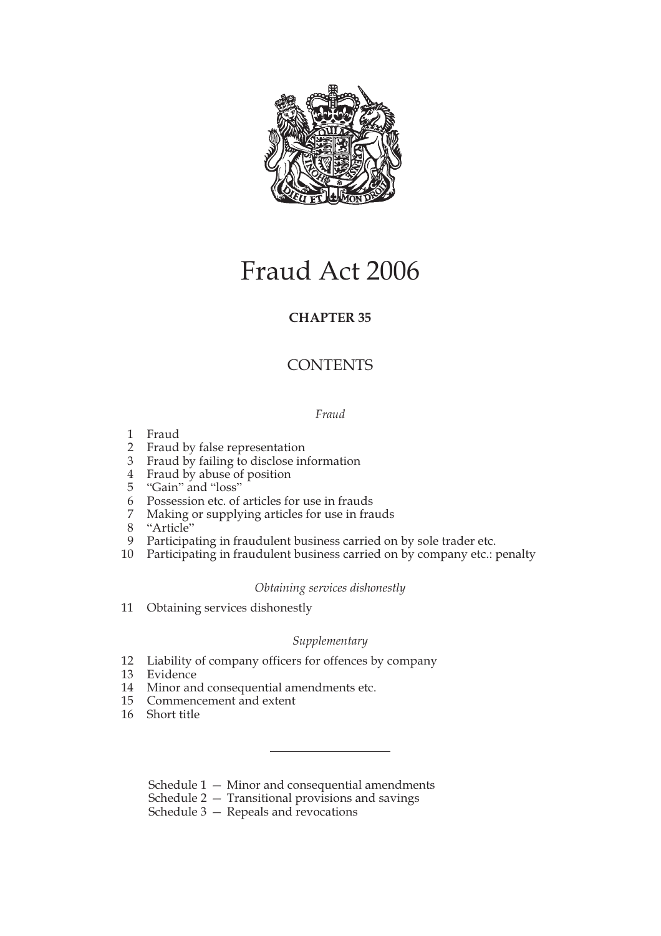

# Fraud Act 2006

## **CHAPTER 35**

## **CONTENTS**

## *Fraud*

- 1 Fraud
- 2 Fraud by false representation
- 3 Fraud by failing to disclose information
- 4 Fraud by abuse of position
- 5 "Gain" and "loss"
- 6 Possession etc. of articles for use in frauds
- 7 Making or supplying articles for use in frauds
- 8 "Article"
- 9 Participating in fraudulent business carried on by sole trader etc.
- 10 Participating in fraudulent business carried on by company etc.: penalty

## *Obtaining services dishonestly*

11 Obtaining services dishonestly

## *Supplementary*

- 12 Liability of company officers for offences by company
- 13 Evidence
- 14 Minor and consequential amendments etc.
- 15 Commencement and extent
- 16 Short title

Schedule 1 — Minor and consequential amendments

Schedule 2 — Transitional provisions and savings

Schedule 3 — Repeals and revocations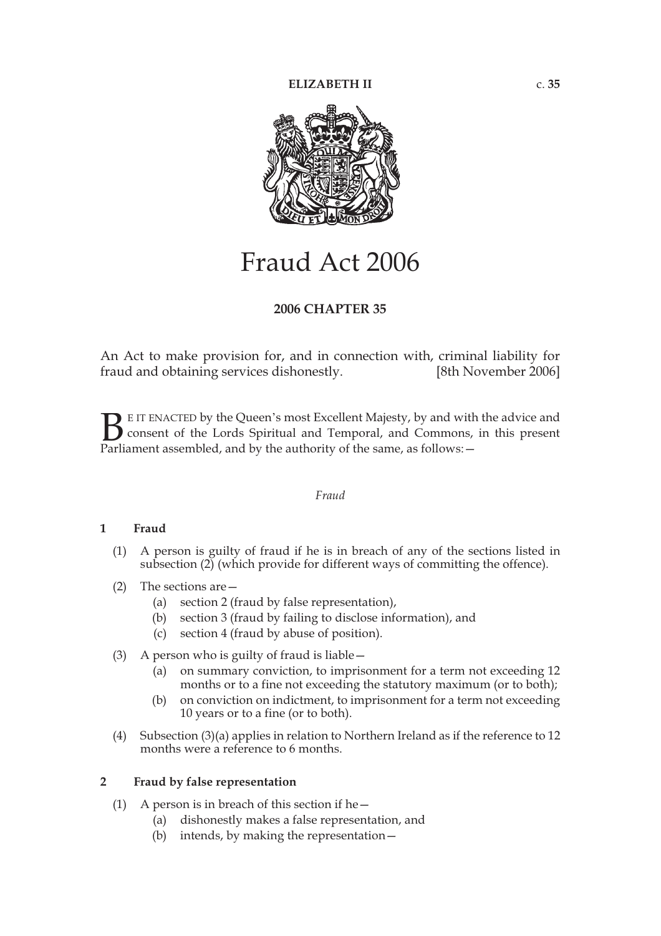

# Fraud Act 2006

## **2006 CHAPTER 35**

An Act to make provision for, and in connection with, criminal liability for fraud and obtaining services dishonestly. [8th November 2006]

E IT ENACTED by the Queen's most Excellent Majesty, by and with the advice and consent of the Lords Spiritual and Temporal, and Commons, in this present **B** E IT ENACTED by the Queen's most Excellent Majesty, by and with consent of the Lords Spiritual and Temporal, and Commons, Parliament assembled, and by the authority of the same, as follows:

## *Fraud*

## **1 Fraud**

- (1) A person is guilty of fraud if he is in breach of any of the sections listed in subsection (2) (which provide for different ways of committing the offence).
- (2) The sections are—
	- (a) section 2 (fraud by false representation),
	- (b) section 3 (fraud by failing to disclose information), and
	- (c) section 4 (fraud by abuse of position).
- (3) A person who is guilty of fraud is liable—
	- (a) on summary conviction, to imprisonment for a term not exceeding 12 months or to a fine not exceeding the statutory maximum (or to both);
	- (b) on conviction on indictment, to imprisonment for a term not exceeding 10 years or to a fine (or to both).
- (4) Subsection (3)(a) applies in relation to Northern Ireland as if the reference to 12 months were a reference to 6 months.

## **2 Fraud by false representation**

- (1) A person is in breach of this section if he $-$ 
	- (a) dishonestly makes a false representation, and
	- (b) intends, by making the representation—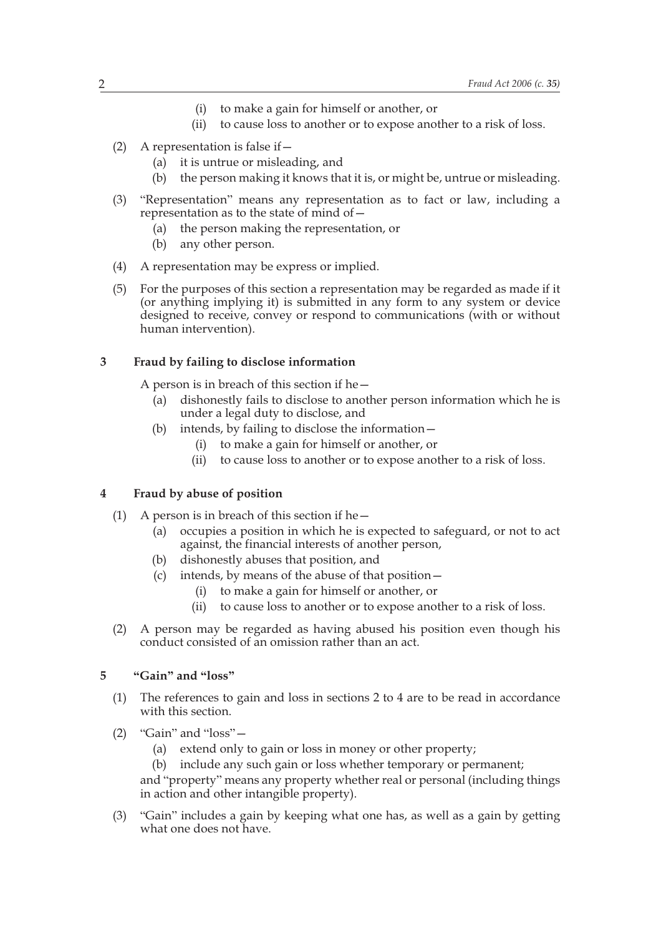- (i) to make a gain for himself or another, or
- (ii) to cause loss to another or to expose another to a risk of loss.
- (2) A representation is false if  $-$ 
	- (a) it is untrue or misleading, and
	- (b) the person making it knows that it is, or might be, untrue or misleading.
- (3) "Representation" means any representation as to fact or law, including a representation as to the state of mind of—
	- (a) the person making the representation, or
	- (b) any other person.
- (4) A representation may be express or implied.
- (5) For the purposes of this section a representation may be regarded as made if it (or anything implying it) is submitted in any form to any system or device designed to receive, convey or respond to communications (with or without human intervention).

#### **3 Fraud by failing to disclose information**

A person is in breach of this section if he—

- (a) dishonestly fails to disclose to another person information which he is under a legal duty to disclose, and
- (b) intends, by failing to disclose the information—
	- (i) to make a gain for himself or another, or
	- (ii) to cause loss to another or to expose another to a risk of loss.

## **4 Fraud by abuse of position**

- (1) A person is in breach of this section if he—
	- (a) occupies a position in which he is expected to safeguard, or not to act against, the financial interests of another person,
	- (b) dishonestly abuses that position, and
	- (c) intends, by means of the abuse of that position—
		- (i) to make a gain for himself or another, or
		- (ii) to cause loss to another or to expose another to a risk of loss.
- (2) A person may be regarded as having abused his position even though his conduct consisted of an omission rather than an act.

## **5 "Gain" and "loss"**

- (1) The references to gain and loss in sections 2 to 4 are to be read in accordance with this section.
- (2) "Gain" and "loss"—
	- (a) extend only to gain or loss in money or other property;
	- (b) include any such gain or loss whether temporary or permanent;

and "property" means any property whether real or personal (including things in action and other intangible property).

(3) "Gain" includes a gain by keeping what one has, as well as a gain by getting what one does not have.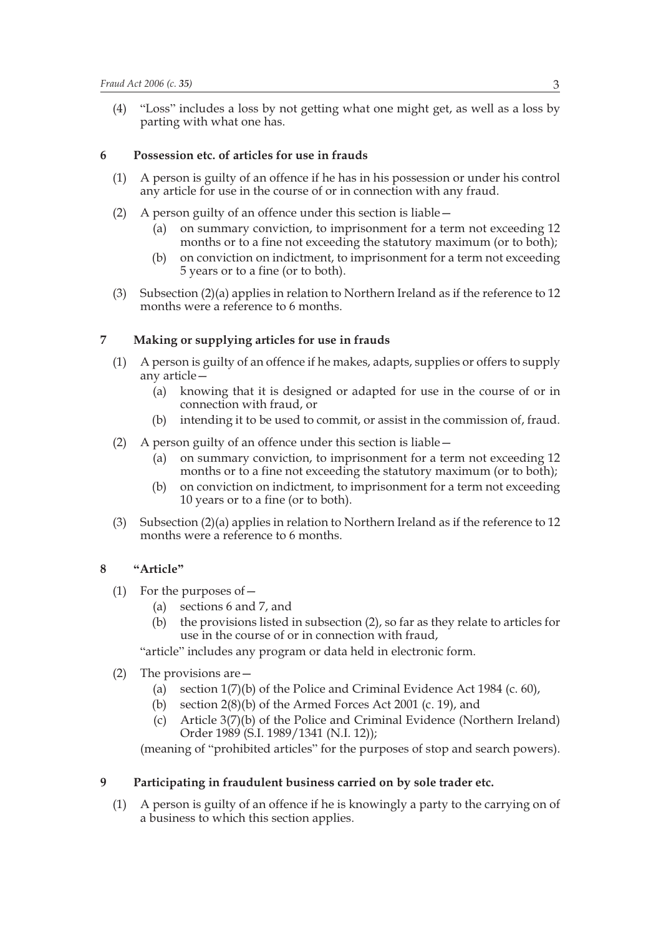(4) "Loss" includes a loss by not getting what one might get, as well as a loss by parting with what one has.

## **6 Possession etc. of articles for use in frauds**

- (1) A person is guilty of an offence if he has in his possession or under his control any article for use in the course of or in connection with any fraud.
- (2) A person guilty of an offence under this section is liable—
	- (a) on summary conviction, to imprisonment for a term not exceeding 12 months or to a fine not exceeding the statutory maximum (or to both);
	- (b) on conviction on indictment, to imprisonment for a term not exceeding 5 years or to a fine (or to both).
- (3) Subsection (2)(a) applies in relation to Northern Ireland as if the reference to 12 months were a reference to 6 months.

## **7 Making or supplying articles for use in frauds**

- (1) A person is guilty of an offence if he makes, adapts, supplies or offers to supply any article—
	- (a) knowing that it is designed or adapted for use in the course of or in connection with fraud, or
	- (b) intending it to be used to commit, or assist in the commission of, fraud.
- (2) A person guilty of an offence under this section is liable
	- on summary conviction, to imprisonment for a term not exceeding 12 months or to a fine not exceeding the statutory maximum (or to both);
	- (b) on conviction on indictment, to imprisonment for a term not exceeding 10 years or to a fine (or to both).
- (3) Subsection (2)(a) applies in relation to Northern Ireland as if the reference to 12 months were a reference to 6 months.

## **8 "Article"**

- (1) For the purposes of—
	- (a) sections 6 and 7, and
	- (b) the provisions listed in subsection (2), so far as they relate to articles for use in the course of or in connection with fraud,

"article" includes any program or data held in electronic form.

- (2) The provisions are—
	- (a) section 1(7)(b) of the Police and Criminal Evidence Act 1984 (c. 60),
	- (b) section 2(8)(b) of the Armed Forces Act 2001 (c. 19), and
	- (c) Article 3(7)(b) of the Police and Criminal Evidence (Northern Ireland) Order 1989 (S.I. 1989/1341 (N.I. 12));

(meaning of "prohibited articles" for the purposes of stop and search powers).

## **9 Participating in fraudulent business carried on by sole trader etc.**

(1) A person is guilty of an offence if he is knowingly a party to the carrying on of a business to which this section applies.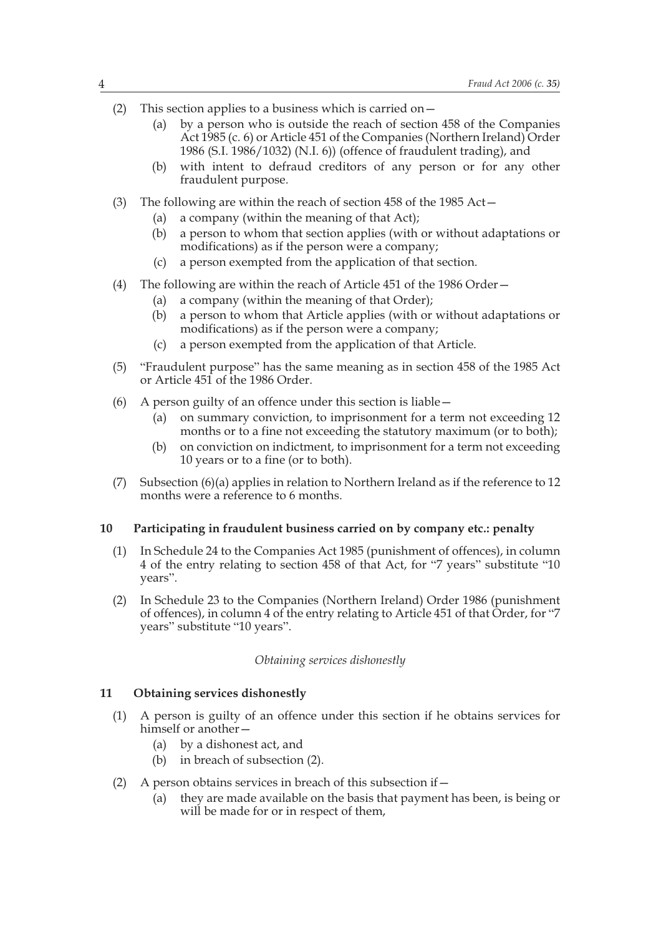- (2) This section applies to a business which is carried on  $-$ 
	- (a) by a person who is outside the reach of section 458 of the Companies Act 1985 (c. 6) or Article 451 of the Companies (Northern Ireland) Order 1986 (S.I. 1986/1032) (N.I. 6)) (offence of fraudulent trading), and
	- (b) with intent to defraud creditors of any person or for any other fraudulent purpose.
- (3) The following are within the reach of section 458 of the 1985  $Act-$ 
	- (a) a company (within the meaning of that Act);
	- (b) a person to whom that section applies (with or without adaptations or modifications) as if the person were a company;
	- (c) a person exempted from the application of that section.
- (4) The following are within the reach of Article 451 of the 1986 Order—
	- (a) a company (within the meaning of that Order);
	- (b) a person to whom that Article applies (with or without adaptations or modifications) as if the person were a company;
	- (c) a person exempted from the application of that Article.
- (5) "Fraudulent purpose" has the same meaning as in section 458 of the 1985 Act or Article 451 of the 1986 Order.
- (6) A person guilty of an offence under this section is liable—
	- (a) on summary conviction, to imprisonment for a term not exceeding 12 months or to a fine not exceeding the statutory maximum (or to both);
	- (b) on conviction on indictment, to imprisonment for a term not exceeding 10 years or to a fine (or to both).
- (7) Subsection (6)(a) applies in relation to Northern Ireland as if the reference to 12 months were a reference to 6 months.

## **10 Participating in fraudulent business carried on by company etc.: penalty**

- (1) In Schedule 24 to the Companies Act 1985 (punishment of offences), in column 4 of the entry relating to section 458 of that Act, for "7 years" substitute "10 years".
- (2) In Schedule 23 to the Companies (Northern Ireland) Order 1986 (punishment of offences), in column 4 of the entry relating to Article 451 of that Order, for "7 years" substitute "10 years".

#### *Obtaining services dishonestly*

#### **11 Obtaining services dishonestly**

- (1) A person is guilty of an offence under this section if he obtains services for himself or another—
	- (a) by a dishonest act, and
	- (b) in breach of subsection (2).
- (2) A person obtains services in breach of this subsection if  $-$ 
	- (a) they are made available on the basis that payment has been, is being or will be made for or in respect of them,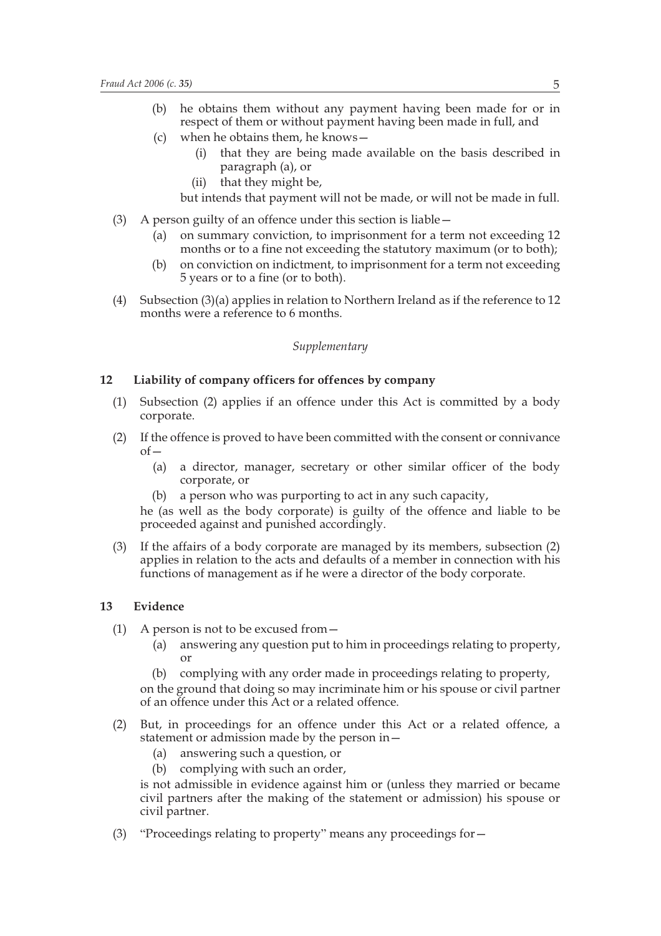- (b) he obtains them without any payment having been made for or in respect of them or without payment having been made in full, and
- (c) when he obtains them, he knows—
	- (i) that they are being made available on the basis described in paragraph (a), or
	- (ii) that they might be,

but intends that payment will not be made, or will not be made in full.

- (3) A person guilty of an offence under this section is liable—
	- (a) on summary conviction, to imprisonment for a term not exceeding 12 months or to a fine not exceeding the statutory maximum (or to both);
	- (b) on conviction on indictment, to imprisonment for a term not exceeding 5 years or to a fine (or to both).
- (4) Subsection (3)(a) applies in relation to Northern Ireland as if the reference to 12 months were a reference to 6 months.

## *Supplementary*

#### **12 Liability of company officers for offences by company**

- (1) Subsection (2) applies if an offence under this Act is committed by a body corporate.
- (2) If the offence is proved to have been committed with the consent or connivance  $of$ 
	- (a) a director, manager, secretary or other similar officer of the body corporate, or
	- (b) a person who was purporting to act in any such capacity,

he (as well as the body corporate) is guilty of the offence and liable to be proceeded against and punished accordingly.

(3) If the affairs of a body corporate are managed by its members, subsection (2) applies in relation to the acts and defaults of a member in connection with his functions of management as if he were a director of the body corporate.

## **13 Evidence**

- (1) A person is not to be excused from—
	- (a) answering any question put to him in proceedings relating to property, or
	- (b) complying with any order made in proceedings relating to property, on the ground that doing so may incriminate him or his spouse or civil partner of an offence under this Act or a related offence.
- (2) But, in proceedings for an offence under this Act or a related offence, a statement or admission made by the person in—
	- (a) answering such a question, or
	- (b) complying with such an order,

is not admissible in evidence against him or (unless they married or became civil partners after the making of the statement or admission) his spouse or civil partner.

(3) "Proceedings relating to property" means any proceedings for—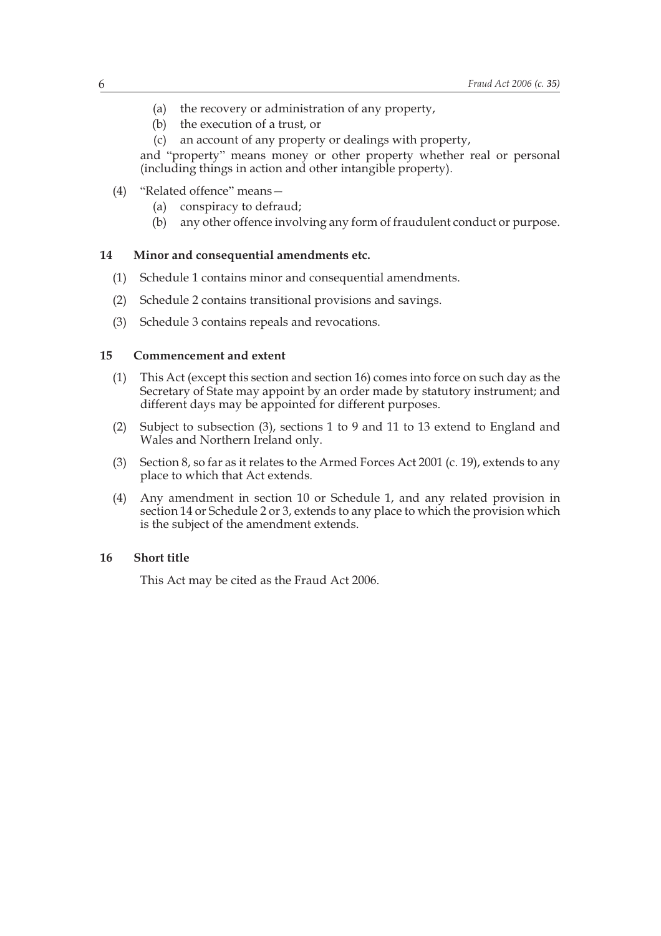- (a) the recovery or administration of any property,
- (b) the execution of a trust, or
- (c) an account of any property or dealings with property,

and "property" means money or other property whether real or personal (including things in action and other intangible property).

- (4) "Related offence" means—
	- (a) conspiracy to defraud;
	- (b) any other offence involving any form of fraudulent conduct or purpose.

#### **14 Minor and consequential amendments etc.**

- (1) Schedule 1 contains minor and consequential amendments.
- (2) Schedule 2 contains transitional provisions and savings.
- (3) Schedule 3 contains repeals and revocations.

#### **15 Commencement and extent**

- (1) This Act (except this section and section 16) comes into force on such day as the Secretary of State may appoint by an order made by statutory instrument; and different days may be appointed for different purposes.
- (2) Subject to subsection (3), sections 1 to 9 and 11 to 13 extend to England and Wales and Northern Ireland only.
- (3) Section 8, so far as it relates to the Armed Forces Act 2001 (c. 19), extends to any place to which that Act extends.
- (4) Any amendment in section 10 or Schedule 1, and any related provision in section 14 or Schedule 2 or 3, extends to any place to which the provision which is the subject of the amendment extends.

## **16 Short title**

This Act may be cited as the Fraud Act 2006.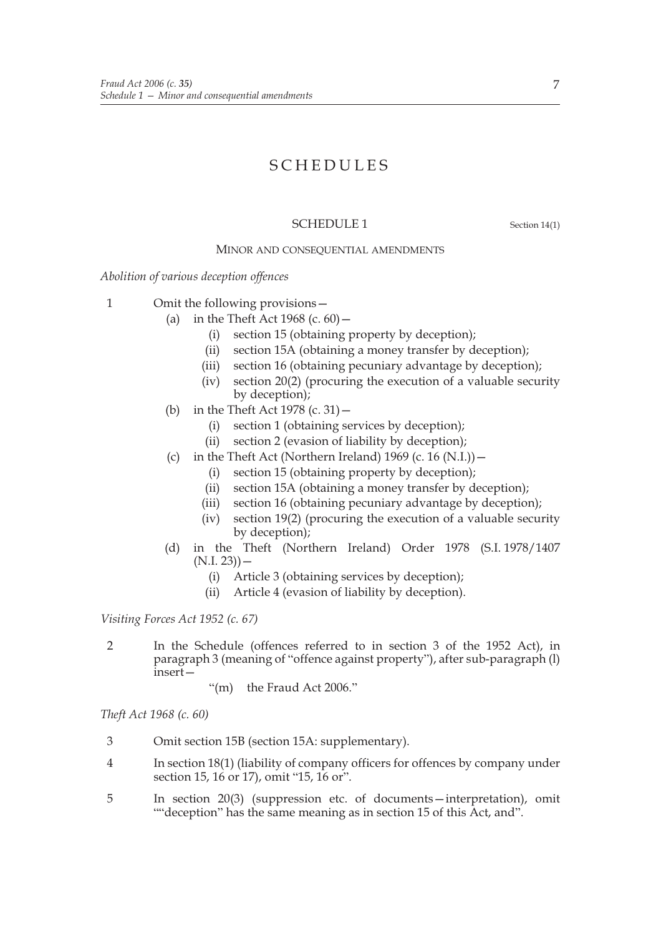# SCHEDULES

## SCHEDULE 1 Section 14(1)

#### MINOR AND CONSEQUENTIAL AMENDMENTS

*Abolition of various deception offences*

- 1 Omit the following provisions—
	- (a) in the Theft Act  $1968$  (c. 60)  $-$ 
		- (i) section 15 (obtaining property by deception);
		- (ii) section 15A (obtaining a money transfer by deception);
		- (iii) section 16 (obtaining pecuniary advantage by deception);
		- (iv) section 20(2) (procuring the execution of a valuable security by deception);
	- (b) in the Theft Act 1978 (c. 31)—
		- (i) section 1 (obtaining services by deception);
		- (ii) section 2 (evasion of liability by deception);
	- (c) in the Theft Act (Northern Ireland)  $1969$  (c. 16 (N.I.))
		- (i) section 15 (obtaining property by deception);
		- (ii) section 15A (obtaining a money transfer by deception);
		- (iii) section 16 (obtaining pecuniary advantage by deception);
		- (iv) section 19(2) (procuring the execution of a valuable security by deception);
	- (d) in the Theft (Northern Ireland) Order 1978 (S.I. 1978/1407  $(N.I. 23)$ ) —
		- (i) Article 3 (obtaining services by deception);
		- (ii) Article 4 (evasion of liability by deception).

*Visiting Forces Act 1952 (c. 67)*

- 2 In the Schedule (offences referred to in section 3 of the 1952 Act), in paragraph 3 (meaning of "offence against property"), after sub-paragraph (l) insert—
	- "(m) the Fraud Act 2006."

*Theft Act 1968 (c. 60)*

- 3 Omit section 15B (section 15A: supplementary).
- 4 In section 18(1) (liability of company officers for offences by company under section 15, 16 or 17), omit "15, 16 or".
- 5 In section 20(3) (suppression etc. of documents—interpretation), omit ""deception" has the same meaning as in section 15 of this Act, and".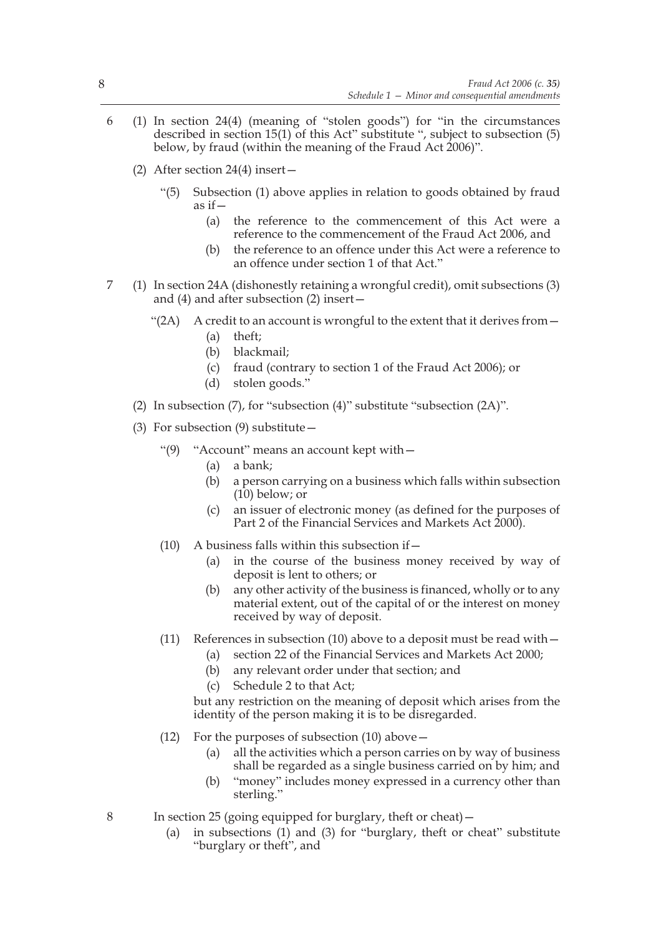- 6 (1) In section 24(4) (meaning of "stolen goods") for "in the circumstances described in section 15(1) of this Act" substitute ", subject to subsection (5) below, by fraud (within the meaning of the Fraud Act 2006)".
	- (2) After section 24(4) insert—
		- "(5) Subsection (1) above applies in relation to goods obtained by fraud as if—
			- (a) the reference to the commencement of this Act were a reference to the commencement of the Fraud Act 2006, and
			- (b) the reference to an offence under this Act were a reference to an offence under section 1 of that Act."
- 7 (1) In section 24A (dishonestly retaining a wrongful credit), omit subsections (3) and (4) and after subsection (2) insert—
	- "(2A) A credit to an account is wrongful to the extent that it derives from  $-$ 
		- (a) theft;
		- (b) blackmail;
		- (c) fraud (contrary to section 1 of the Fraud Act 2006); or
		- (d) stolen goods."
	- (2) In subsection (7), for "subsection (4)" substitute "subsection (2A)".
	- (3) For subsection (9) substitute—
		- "(9) "Account" means an account kept with—
			- (a) a bank;
			- (b) a person carrying on a business which falls within subsection (10) below; or
			- (c) an issuer of electronic money (as defined for the purposes of Part 2 of the Financial Services and Markets Act 2000).
		- $(10)$  A business falls within this subsection if  $-$ 
			- (a) in the course of the business money received by way of deposit is lent to others; or
			- (b) any other activity of the business is financed, wholly or to any material extent, out of the capital of or the interest on money received by way of deposit.
		- (11) References in subsection (10) above to a deposit must be read with  $-$ 
			- (a) section 22 of the Financial Services and Markets Act 2000;
			- (b) any relevant order under that section; and
			- (c) Schedule 2 to that Act;

but any restriction on the meaning of deposit which arises from the identity of the person making it is to be disregarded.

- (12) For the purposes of subsection (10) above—
	- (a) all the activities which a person carries on by way of business shall be regarded as a single business carried on by him; and
	- (b) "money" includes money expressed in a currency other than sterling."
- 8 In section 25 (going equipped for burglary, theft or cheat)—
	- (a) in subsections (1) and (3) for "burglary, theft or cheat" substitute "burglary or theft", and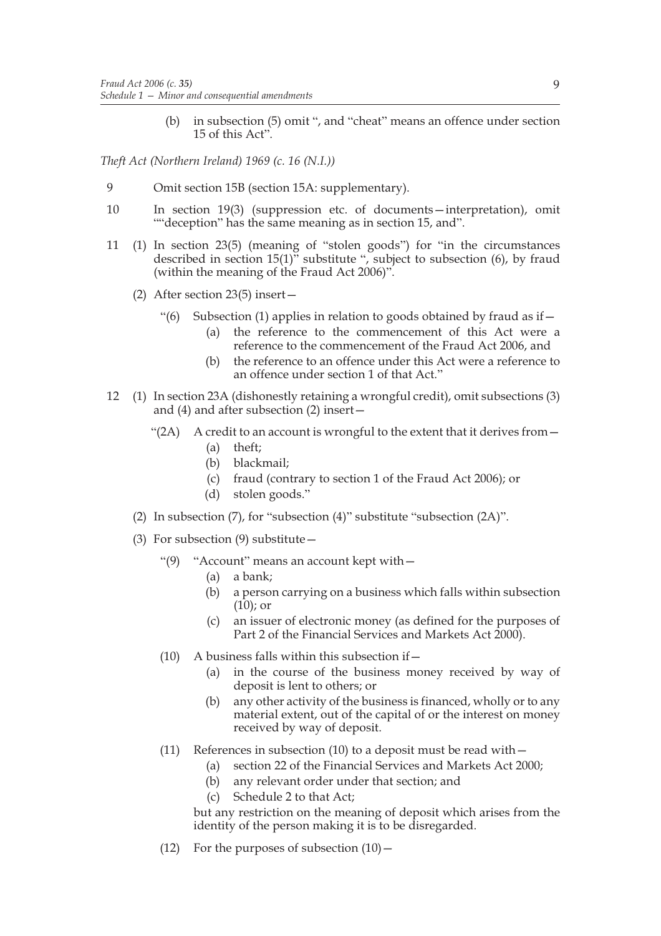(b) in subsection (5) omit ", and "cheat" means an offence under section 15 of this Act".

*Theft Act (Northern Ireland) 1969 (c. 16 (N.I.))*

- 9 Omit section 15B (section 15A: supplementary).
- 10 In section 19(3) (suppression etc. of documents—interpretation), omit ""deception" has the same meaning as in section 15, and".
- 11 (1) In section 23(5) (meaning of "stolen goods") for "in the circumstances described in section  $15(1)$ <sup>"</sup> substitute ", subject to subsection (6), by fraud (within the meaning of the Fraud Act 2006)".
	- (2) After section 23(5) insert—
		- "(6) Subsection (1) applies in relation to goods obtained by fraud as if—
			- (a) the reference to the commencement of this Act were a reference to the commencement of the Fraud Act 2006, and
			- (b) the reference to an offence under this Act were a reference to an offence under section 1 of that Act."
- 12 (1) In section 23A (dishonestly retaining a wrongful credit), omit subsections (3) and (4) and after subsection (2) insert—
	- " $(2A)$  A credit to an account is wrongful to the extent that it derives from  $-$ 
		- (a) theft;
		- (b) blackmail;
		- (c) fraud (contrary to section 1 of the Fraud Act 2006); or
		- (d) stolen goods."
	- (2) In subsection (7), for "subsection (4)" substitute "subsection (2A)".
	- (3) For subsection  $(9)$  substitute  $-$ 
		- "(9) "Account" means an account kept with—
			- (a) a bank;
			- (b) a person carrying on a business which falls within subsection (10); or
			- (c) an issuer of electronic money (as defined for the purposes of Part 2 of the Financial Services and Markets Act 2000).
		- $(10)$  A business falls within this subsection if  $-$ 
			- (a) in the course of the business money received by way of deposit is lent to others; or
			- (b) any other activity of the business is financed, wholly or to any material extent, out of the capital of or the interest on money received by way of deposit.
		- (11) References in subsection (10) to a deposit must be read with  $-$ 
			- (a) section 22 of the Financial Services and Markets Act 2000;
			- (b) any relevant order under that section; and
			- (c) Schedule 2 to that Act;

but any restriction on the meaning of deposit which arises from the identity of the person making it is to be disregarded.

(12) For the purposes of subsection  $(10)$  –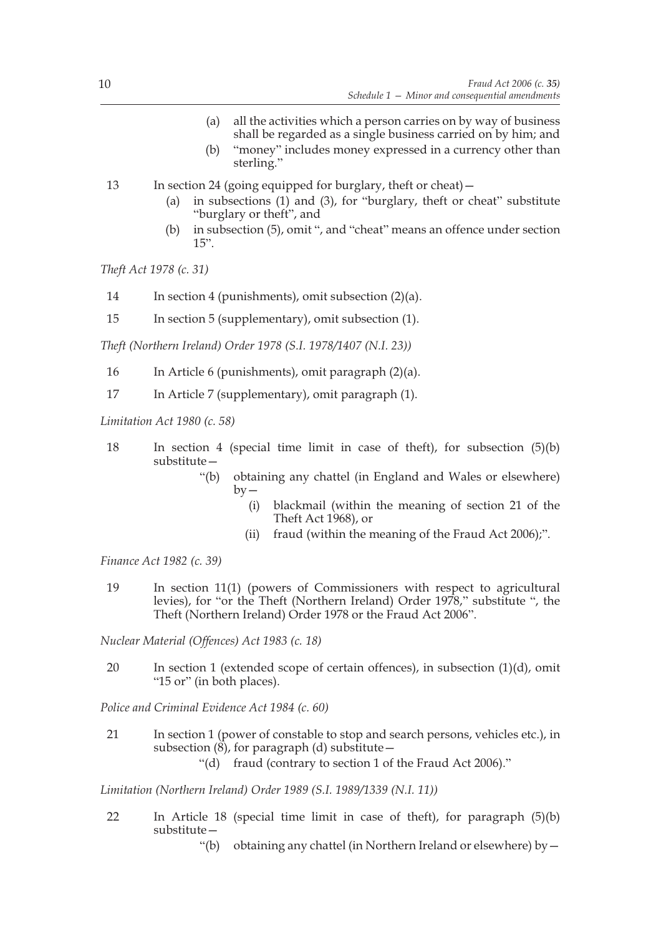- (a) all the activities which a person carries on by way of business shall be regarded as a single business carried on by him; and
- (b) "money" includes money expressed in a currency other than sterling."
- 13 In section 24 (going equipped for burglary, theft or cheat)—
	- (a) in subsections (1) and (3), for "burglary, theft or cheat" substitute "burglary or theft", and
	- (b) in subsection (5), omit ", and "cheat" means an offence under section 15".

*Theft Act 1978 (c. 31)*

- 14 In section 4 (punishments), omit subsection (2)(a).
- 15 In section 5 (supplementary), omit subsection (1).

*Theft (Northern Ireland) Order 1978 (S.I. 1978/1407 (N.I. 23))*

- 16 In Article 6 (punishments), omit paragraph (2)(a).
- 17 In Article 7 (supplementary), omit paragraph (1).

*Limitation Act 1980 (c. 58)*

- 18 In section 4 (special time limit in case of theft), for subsection (5)(b) substitute—
	- "(b) obtaining any chattel (in England and Wales or elsewhere)  $by -$ 
		- (i) blackmail (within the meaning of section 21 of the Theft Act 1968), or
		- (ii) fraud (within the meaning of the Fraud Act 2006);".

*Finance Act 1982 (c. 39)*

19 In section 11(1) (powers of Commissioners with respect to agricultural levies), for "or the Theft (Northern Ireland) Order 1978," substitute ", the Theft (Northern Ireland) Order 1978 or the Fraud Act 2006".

*Nuclear Material (Offences) Act 1983 (c. 18)*

20 In section 1 (extended scope of certain offences), in subsection (1)(d), omit "15 or" (in both places).

*Police and Criminal Evidence Act 1984 (c. 60)*

- 21 In section 1 (power of constable to stop and search persons, vehicles etc.), in subsection  $(\vec{8})$ , for paragraph (d) substitute –
	- "(d) fraud (contrary to section 1 of the Fraud Act 2006)."

*Limitation (Northern Ireland) Order 1989 (S.I. 1989/1339 (N.I. 11))*

- 22 In Article 18 (special time limit in case of theft), for paragraph (5)(b) substitute—
	- "(b) obtaining any chattel (in Northern Ireland or elsewhere) by—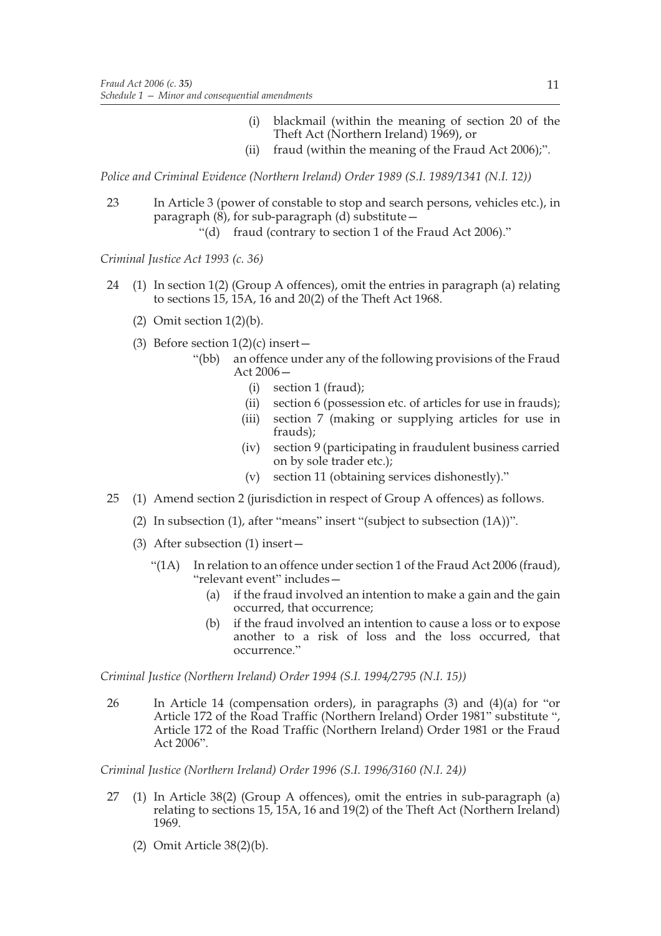- (i) blackmail (within the meaning of section 20 of the Theft Act (Northern Ireland) 1969), or
- (ii) fraud (within the meaning of the Fraud Act 2006);".

*Police and Criminal Evidence (Northern Ireland) Order 1989 (S.I. 1989/1341 (N.I. 12))*

- 23 In Article 3 (power of constable to stop and search persons, vehicles etc.), in paragraph  $(\overline{8})$ , for sub-paragraph (d) substitute –
	- "(d) fraud (contrary to section 1 of the Fraud Act 2006)."

*Criminal Justice Act 1993 (c. 36)*

- 24 (1) In section 1(2) (Group A offences), omit the entries in paragraph (a) relating to sections 15, 15A, 16 and 20(2) of the Theft Act 1968.
	- (2) Omit section  $1(2)(b)$ .
	- (3) Before section  $1(2)(c)$  insert -
		- "(bb) an offence under any of the following provisions of the Fraud Act  $2006-$ 
			- (i) section 1 (fraud);
			- (ii) section 6 (possession etc. of articles for use in frauds);
			- (iii) section 7 (making or supplying articles for use in frauds);
			- (iv) section 9 (participating in fraudulent business carried on by sole trader etc.);
			- (v) section 11 (obtaining services dishonestly)."
- 25 (1) Amend section 2 (jurisdiction in respect of Group A offences) as follows.
	- (2) In subsection (1), after "means" insert "(subject to subsection (1A))".
	- (3) After subsection (1) insert—
		- "(1A) In relation to an offence under section 1 of the Fraud Act 2006 (fraud), "relevant event" includes—
			- (a) if the fraud involved an intention to make a gain and the gain occurred, that occurrence;
			- (b) if the fraud involved an intention to cause a loss or to expose another to a risk of loss and the loss occurred, that occurrence."

*Criminal Justice (Northern Ireland) Order 1994 (S.I. 1994/2795 (N.I. 15))*

26 In Article 14 (compensation orders), in paragraphs (3) and (4)(a) for "or Article 172 of the Road Traffic (Northern Ireland) Order 1981" substitute ", Article 172 of the Road Traffic (Northern Ireland) Order 1981 or the Fraud Act 2006".

*Criminal Justice (Northern Ireland) Order 1996 (S.I. 1996/3160 (N.I. 24))*

- 27 (1) In Article 38(2) (Group A offences), omit the entries in sub-paragraph (a) relating to sections 15, 15A, 16 and 19(2) of the Theft Act (Northern Ireland) 1969.
	- (2) Omit Article 38(2)(b).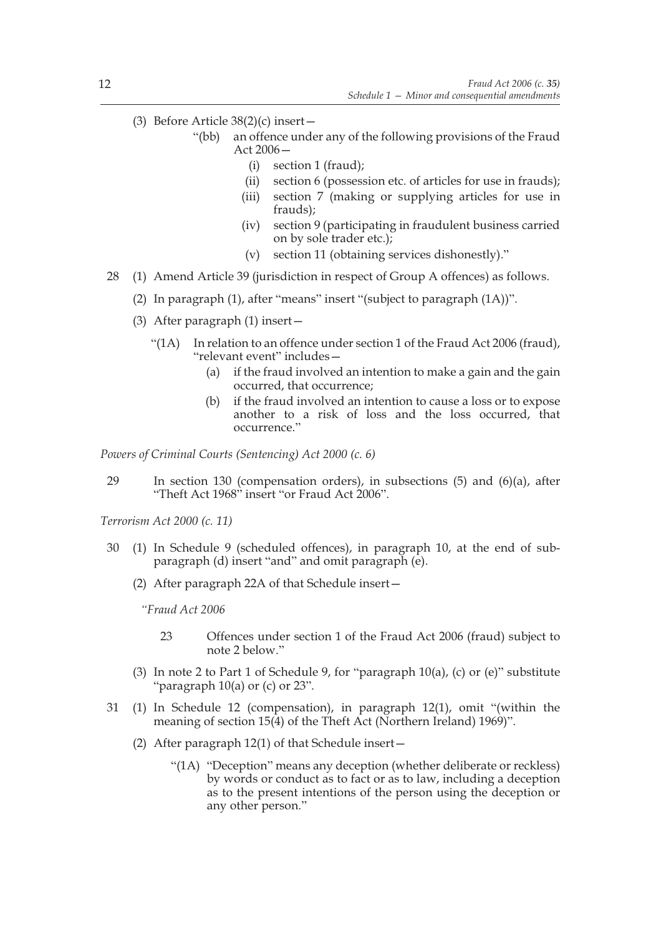- (3) Before Article  $38(2)$ (c) insert
	- "(bb) an offence under any of the following provisions of the Fraud Act 2006—
		- (i) section 1 (fraud);
		- (ii) section 6 (possession etc. of articles for use in frauds);
		- (iii) section 7 (making or supplying articles for use in frauds);
		- (iv) section 9 (participating in fraudulent business carried on by sole trader etc.);
		- (v) section 11 (obtaining services dishonestly)."
- 28 (1) Amend Article 39 (jurisdiction in respect of Group A offences) as follows.
	- (2) In paragraph (1), after "means" insert "(subject to paragraph (1A))".
	- (3) After paragraph (1) insert—
		- "(1A) In relation to an offence under section 1 of the Fraud Act 2006 (fraud), "relevant event" includes—
			- (a) if the fraud involved an intention to make a gain and the gain occurred, that occurrence;
			- (b) if the fraud involved an intention to cause a loss or to expose another to a risk of loss and the loss occurred, that occurrence."

*Powers of Criminal Courts (Sentencing) Act 2000 (c. 6)*

29 In section 130 (compensation orders), in subsections (5) and (6)(a), after "Theft Act 1968" insert "or Fraud Act 2006".

*Terrorism Act 2000 (c. 11)*

- 30 (1) In Schedule 9 (scheduled offences), in paragraph 10, at the end of subparagraph (d) insert "and" and omit paragraph (e).
	- (2) After paragraph 22A of that Schedule insert—

*"Fraud Act 2006*

- 23 Offences under section 1 of the Fraud Act 2006 (fraud) subject to note 2 below."
- (3) In note 2 to Part 1 of Schedule 9, for "paragraph 10(a), (c) or (e)" substitute "paragraph  $10(a)$  or (c) or  $23$ ".
- 31 (1) In Schedule 12 (compensation), in paragraph 12(1), omit "(within the meaning of section 15(4) of the Theft Act (Northern Ireland) 1969)".
	- (2) After paragraph 12(1) of that Schedule insert—
		- "(1A) "Deception" means any deception (whether deliberate or reckless) by words or conduct as to fact or as to law, including a deception as to the present intentions of the person using the deception or any other person."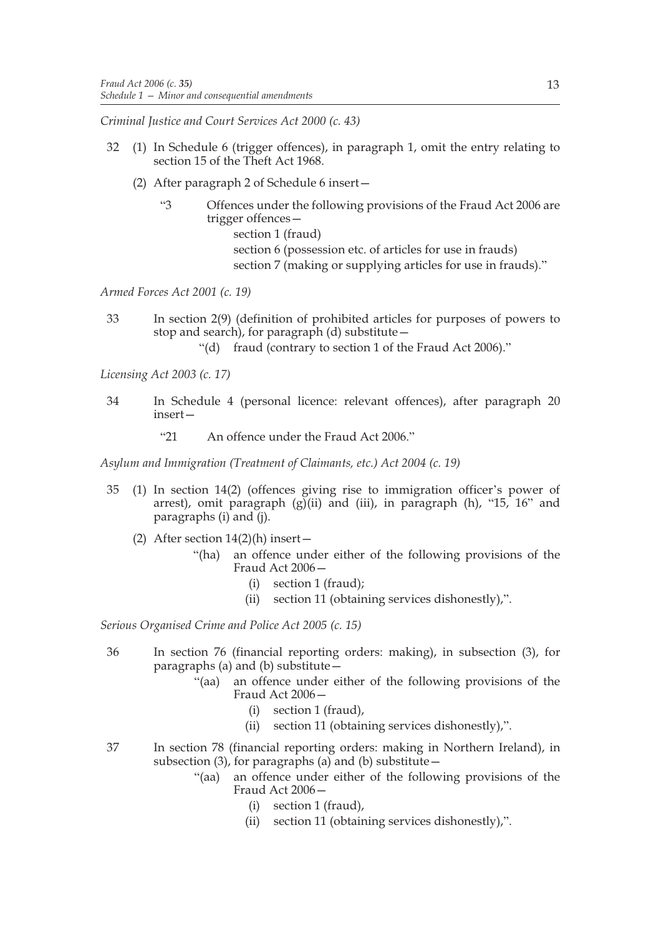*Criminal Justice and Court Services Act 2000 (c. 43)*

- 32 (1) In Schedule 6 (trigger offences), in paragraph 1, omit the entry relating to section 15 of the Theft Act 1968.
	- (2) After paragraph 2 of Schedule 6 insert—
		- "3 Offences under the following provisions of the Fraud Act 2006 are trigger offences section 1 (fraud) section 6 (possession etc. of articles for use in frauds) section 7 (making or supplying articles for use in frauds)."

*Armed Forces Act 2001 (c. 19)*

- 33 In section 2(9) (definition of prohibited articles for purposes of powers to stop and search), for paragraph (d) substitute—
	- "(d) fraud (contrary to section 1 of the Fraud Act 2006)."

*Licensing Act 2003 (c. 17)*

- 34 In Schedule 4 (personal licence: relevant offences), after paragraph 20 insert—
	- "21 An offence under the Fraud Act 2006."

*Asylum and Immigration (Treatment of Claimants, etc.) Act 2004 (c. 19)*

- 35 (1) In section 14(2) (offences giving rise to immigration officer's power of arrest), omit paragraph  $(g)(ii)$  and (iii), in paragraph (h), "15, 16" and paragraphs (i) and (j).
	- (2) After section  $14(2)$ (h) insert
		- "(ha) an offence under either of the following provisions of the Fraud Act 2006—
			- (i) section 1 (fraud);
			- (ii) section 11 (obtaining services dishonestly),".

*Serious Organised Crime and Police Act 2005 (c. 15)*

- 36 In section 76 (financial reporting orders: making), in subsection (3), for paragraphs (a) and (b) substitute—
	- "(aa) an offence under either of the following provisions of the Fraud Act 2006—
		- (i) section 1 (fraud),
		- (ii) section 11 (obtaining services dishonestly),".
- 37 In section 78 (financial reporting orders: making in Northern Ireland), in subsection  $(3)$ , for paragraphs  $(a)$  and  $(b)$  substitute –
	- "(aa) an offence under either of the following provisions of the Fraud Act 2006—
		- (i) section 1 (fraud),
		- (ii) section 11 (obtaining services dishonestly),".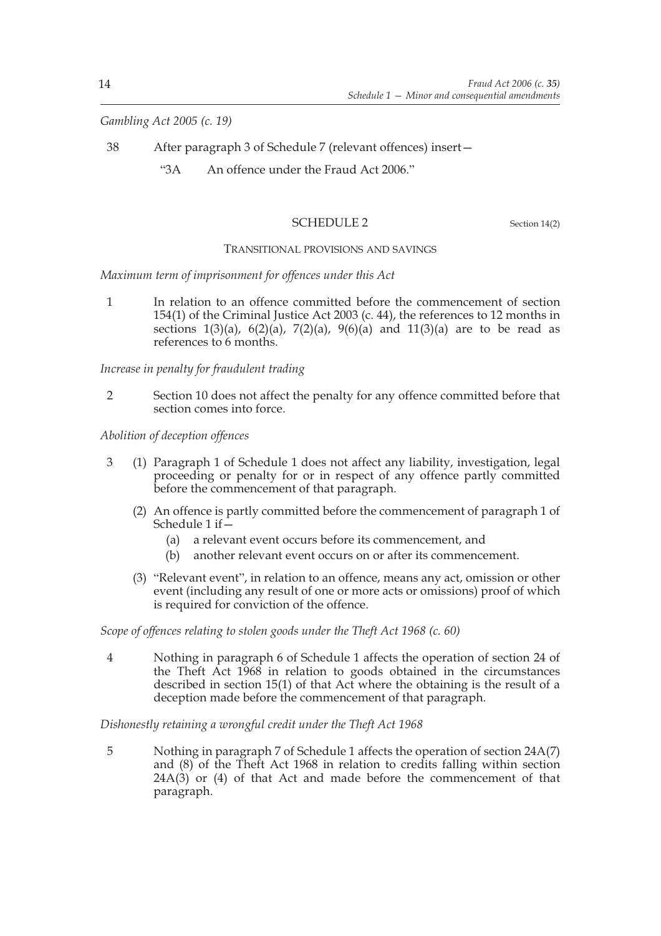*Gambling Act 2005 (c. 19)*

- 38 After paragraph 3 of Schedule 7 (relevant offences) insert—
	- "3A An offence under the Fraud Act 2006."

## SCHEDULE 2 Section 14(2)

## TRANSITIONAL PROVISIONS AND SAVINGS

*Maximum term of imprisonment for offences under this Act*

1 In relation to an offence committed before the commencement of section 154(1) of the Criminal Justice Act 2003 (c. 44), the references to 12 months in sections  $1(3)(a)$ ,  $6(2)(a)$ ,  $7(2)(a)$ ,  $9(6)(a)$  and  $11(3)(a)$  are to be read as references to 6 months.

*Increase in penalty for fraudulent trading*

2 Section 10 does not affect the penalty for any offence committed before that section comes into force.

*Abolition of deception offences*

- 3 (1) Paragraph 1 of Schedule 1 does not affect any liability, investigation, legal proceeding or penalty for or in respect of any offence partly committed before the commencement of that paragraph.
	- (2) An offence is partly committed before the commencement of paragraph 1 of Schedule 1 if—
		- (a) a relevant event occurs before its commencement, and
		- (b) another relevant event occurs on or after its commencement.
	- (3) "Relevant event", in relation to an offence, means any act, omission or other event (including any result of one or more acts or omissions) proof of which is required for conviction of the offence.

*Scope of offences relating to stolen goods under the Theft Act 1968 (c. 60)*

4 Nothing in paragraph 6 of Schedule 1 affects the operation of section 24 of the Theft Act 1968 in relation to goods obtained in the circumstances described in section 15(1) of that Act where the obtaining is the result of a deception made before the commencement of that paragraph.

## *Dishonestly retaining a wrongful credit under the Theft Act 1968*

5 Nothing in paragraph 7 of Schedule 1 affects the operation of section 24A(7) and (8) of the Theft Act 1968 in relation to credits falling within section  $24A(3)$  or (4) of that Act and made before the commencement of that paragraph.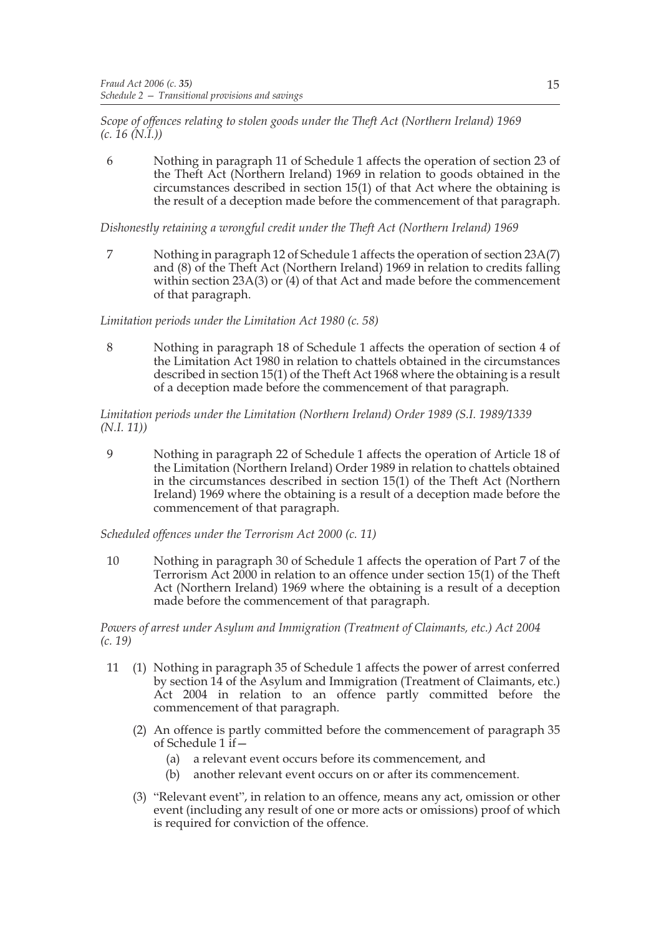*Scope of offences relating to stolen goods under the Theft Act (Northern Ireland) 1969 (c. 16 (N.I.))*

6 Nothing in paragraph 11 of Schedule 1 affects the operation of section 23 of the Theft Act (Northern Ireland) 1969 in relation to goods obtained in the circumstances described in section 15(1) of that Act where the obtaining is the result of a deception made before the commencement of that paragraph.

*Dishonestly retaining a wrongful credit under the Theft Act (Northern Ireland) 1969*

7 Nothing in paragraph 12 of Schedule 1 affects the operation of section 23A(7) and (8) of the Theft Act (Northern Ireland) 1969 in relation to credits falling within section 23A(3) or (4) of that Act and made before the commencement of that paragraph.

## *Limitation periods under the Limitation Act 1980 (c. 58)*

8 Nothing in paragraph 18 of Schedule 1 affects the operation of section 4 of the Limitation Act 1980 in relation to chattels obtained in the circumstances described in section 15(1) of the Theft Act 1968 where the obtaining is a result of a deception made before the commencement of that paragraph.

*Limitation periods under the Limitation (Northern Ireland) Order 1989 (S.I. 1989/1339 (N.I. 11))*

9 Nothing in paragraph 22 of Schedule 1 affects the operation of Article 18 of the Limitation (Northern Ireland) Order 1989 in relation to chattels obtained in the circumstances described in section 15(1) of the Theft Act (Northern Ireland) 1969 where the obtaining is a result of a deception made before the commencement of that paragraph.

*Scheduled offences under the Terrorism Act 2000 (c. 11)*

10 Nothing in paragraph 30 of Schedule 1 affects the operation of Part 7 of the Terrorism Act 2000 in relation to an offence under section 15(1) of the Theft Act (Northern Ireland) 1969 where the obtaining is a result of a deception made before the commencement of that paragraph.

*Powers of arrest under Asylum and Immigration (Treatment of Claimants, etc.) Act 2004 (c. 19)*

- 11 (1) Nothing in paragraph 35 of Schedule 1 affects the power of arrest conferred by section 14 of the Asylum and Immigration (Treatment of Claimants, etc.) Act 2004 in relation to an offence partly committed before the commencement of that paragraph.
	- (2) An offence is partly committed before the commencement of paragraph 35 of Schedule 1 if—
		- (a) a relevant event occurs before its commencement, and
		- (b) another relevant event occurs on or after its commencement.
	- (3) "Relevant event", in relation to an offence, means any act, omission or other event (including any result of one or more acts or omissions) proof of which is required for conviction of the offence.